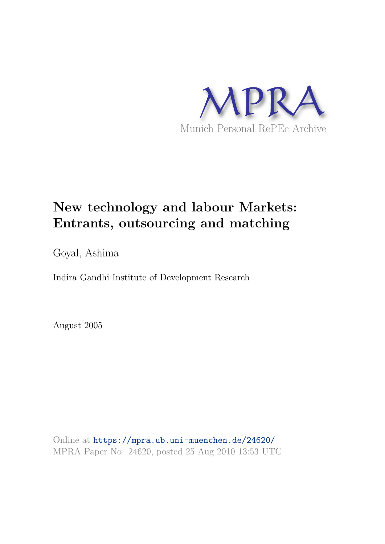

# **New technology and labour Markets: Entrants, outsourcing and matching**

Goyal, Ashima

Indira Gandhi Institute of Development Research

August 2005

Online at https://mpra.ub.uni-muenchen.de/24620/ MPRA Paper No. 24620, posted 25 Aug 2010 13:53 UTC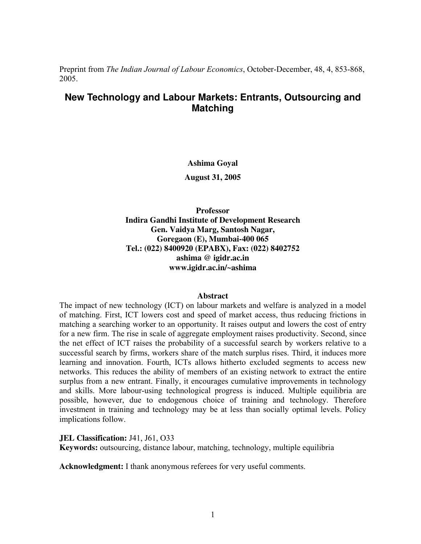Preprint from *The Indian Journal of Labour Economics*, October-December, 48, 4, 853-868, 2005.

## **New Technology and Labour Markets: Entrants, Outsourcing and Matching**

#### **Ashima Goyal**

**August 31, 2005** 

**Professor Indira Gandhi Institute of Development Research Gen. Vaidya Marg, Santosh Nagar, Goregaon (E), Mumbai-400 065 Tel.: (022) 8400920 (EPABX), Fax: (022) 8402752 ashima @ igidr.ac.in www.igidr.ac.in/~ashima**

#### **Abstract**

The impact of new technology (ICT) on labour markets and welfare is analyzed in a model of matching. First, ICT lowers cost and speed of market access, thus reducing frictions in matching a searching worker to an opportunity. It raises output and lowers the cost of entry for a new firm. The rise in scale of aggregate employment raises productivity. Second, since the net effect of ICT raises the probability of a successful search by workers relative to a successful search by firms, workers share of the match surplus rises. Third, it induces more learning and innovation. Fourth, ICTs allows hitherto excluded segments to access new networks. This reduces the ability of members of an existing network to extract the entire surplus from a new entrant. Finally, it encourages cumulative improvements in technology and skills. More labour-using technological progress is induced. Multiple equilibria are possible, however, due to endogenous choice of training and technology. Therefore investment in training and technology may be at less than socially optimal levels. Policy implications follow.

**JEL Classification: J41, J61, O33** 

**Keywords:** outsourcing, distance labour, matching, technology, multiple equilibria

**Acknowledgment:** I thank anonymous referees for very useful comments.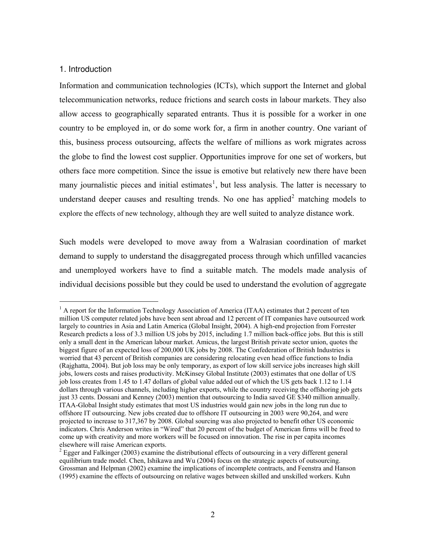## 1. Introduction

Information and communication technologies (ICTs), which support the Internet and global telecommunication networks, reduce frictions and search costs in labour markets. They also allow access to geographically separated entrants. Thus it is possible for a worker in one country to be employed in, or do some work for, a firm in another country. One variant of this, business process outsourcing, affects the welfare of millions as work migrates across the globe to find the lowest cost supplier. Opportunities improve for one set of workers, but others face more competition. Since the issue is emotive but relatively new there have been many journalistic pieces and initial estimates<sup>1</sup>, but less analysis. The latter is necessary to understand deeper causes and resulting trends. No one has applied<sup>2</sup> matching models to explore the effects of new technology, although they are well suited to analyze distance work.

Such models were developed to move away from a Walrasian coordination of market demand to supply to understand the disaggregated process through which unfilled vacancies and unemployed workers have to find a suitable match. The models made analysis of individual decisions possible but they could be used to understand the evolution of aggregate

<sup>&</sup>lt;sup>1</sup> A report for the Information Technology Association of America (ITAA) estimates that 2 percent of ten million US computer related jobs have been sent abroad and 12 percent of IT companies have outsourced work largely to countries in Asia and Latin America (Global Insight, 2004). A high-end projection from Forrester Research predicts a loss of 3.3 million US jobs by 2015, including 1.7 million back-office jobs. But this is still only a small dent in the American labour market. Amicus, the largest British private sector union, quotes the biggest figure of an expected loss of 200,000 UK jobs by 2008. The Confederation of British Industries is worried that 43 percent of British companies are considering relocating even head office functions to India (Rajghatta, 2004). But job loss may be only temporary, as export of low skill service jobs increases high skill jobs, lowers costs and raises productivity. McKinsey Global Institute (2003) estimates that one dollar of US job loss creates from 1.45 to 1.47 dollars of global value added out of which the US gets back 1.12 to 1.14 dollars through various channels, including higher exports, while the country receiving the offshoring job gets just 33 cents. Dossani and Kenney (2003) mention that outsourcing to India saved GE \$340 million annually. ITAA-Global Insight study estimates that most US industries would gain new jobs in the long run due to offshore IT outsourcing. New jobs created due to offshore IT outsourcing in 2003 were 90,264, and were projected to increase to 317,367 by 2008. Global sourcing was also projected to benefit other US economic indicators. Chris Anderson writes in "Wired" that 20 percent of the budget of American firms will be freed to come up with creativity and more workers will be focused on innovation. The rise in per capita incomes elsewhere will raise American exports.

 $2$  Egger and Falkinger (2003) examine the distributional effects of outsourcing in a very different general equilibrium trade model. Chen, Ishikawa and Wu (2004) focus on the strategic aspects of outsourcing. Grossman and Helpman (2002) examine the implications of incomplete contracts, and Feenstra and Hanson (1995) examine the effects of outsourcing on relative wages between skilled and unskilled workers. Kuhn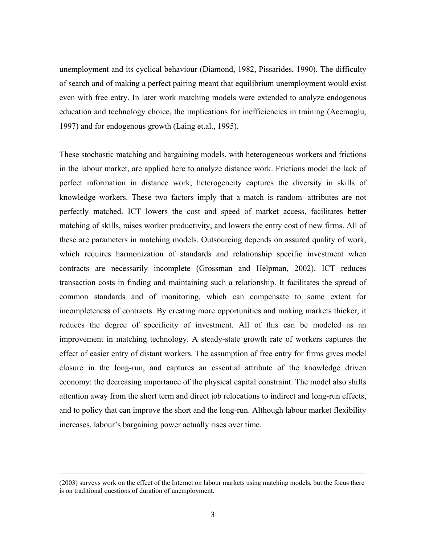unemployment and its cyclical behaviour (Diamond, 1982, Pissarides, 1990). The difficulty of search and of making a perfect pairing meant that equilibrium unemployment would exist even with free entry. In later work matching models were extended to analyze endogenous education and technology choice, the implications for inefficiencies in training (Acemoglu, 1997) and for endogenous growth (Laing et.al., 1995).

These stochastic matching and bargaining models, with heterogeneous workers and frictions in the labour market, are applied here to analyze distance work. Frictions model the lack of perfect information in distance work; heterogeneity captures the diversity in skills of knowledge workers. These two factors imply that a match is random--attributes are not perfectly matched. ICT lowers the cost and speed of market access, facilitates better matching of skills, raises worker productivity, and lowers the entry cost of new firms. All of these are parameters in matching models. Outsourcing depends on assured quality of work, which requires harmonization of standards and relationship specific investment when contracts are necessarily incomplete (Grossman and Helpman, 2002). ICT reduces transaction costs in finding and maintaining such a relationship. It facilitates the spread of common standards and of monitoring, which can compensate to some extent for incompleteness of contracts. By creating more opportunities and making markets thicker, it reduces the degree of specificity of investment. All of this can be modeled as an improvement in matching technology. A steady-state growth rate of workers captures the effect of easier entry of distant workers. The assumption of free entry for firms gives model closure in the long-run, and captures an essential attribute of the knowledge driven economy: the decreasing importance of the physical capital constraint. The model also shifts attention away from the short term and direct job relocations to indirect and long-run effects, and to policy that can improve the short and the long-run. Although labour market flexibility increases, labour's bargaining power actually rises over time.

<sup>(2003)</sup> surveys work on the effect of the Internet on labour markets using matching models, but the focus there is on traditional questions of duration of unemployment.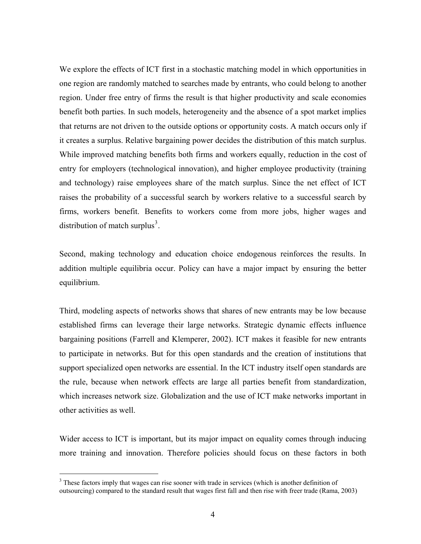We explore the effects of ICT first in a stochastic matching model in which opportunities in one region are randomly matched to searches made by entrants, who could belong to another region. Under free entry of firms the result is that higher productivity and scale economies benefit both parties. In such models, heterogeneity and the absence of a spot market implies that returns are not driven to the outside options or opportunity costs. A match occurs only if it creates a surplus. Relative bargaining power decides the distribution of this match surplus. While improved matching benefits both firms and workers equally, reduction in the cost of entry for employers (technological innovation), and higher employee productivity (training and technology) raise employees share of the match surplus. Since the net effect of ICT raises the probability of a successful search by workers relative to a successful search by firms, workers benefit. Benefits to workers come from more jobs, higher wages and distribution of match surplus<sup>3</sup>.

Second, making technology and education choice endogenous reinforces the results. In addition multiple equilibria occur. Policy can have a major impact by ensuring the better equilibrium.

Third, modeling aspects of networks shows that shares of new entrants may be low because established firms can leverage their large networks. Strategic dynamic effects influence bargaining positions (Farrell and Klemperer, 2002). ICT makes it feasible for new entrants to participate in networks. But for this open standards and the creation of institutions that support specialized open networks are essential. In the ICT industry itself open standards are the rule, because when network effects are large all parties benefit from standardization, which increases network size. Globalization and the use of ICT make networks important in other activities as well.

Wider access to ICT is important, but its major impact on equality comes through inducing more training and innovation. Therefore policies should focus on these factors in both

<sup>&</sup>lt;sup>3</sup> These factors imply that wages can rise sooner with trade in services (which is another definition of outsourcing) compared to the standard result that wages first fall and then rise with freer trade (Rama, 2003)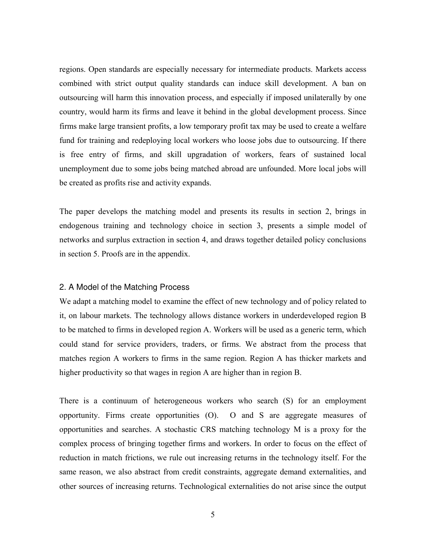regions. Open standards are especially necessary for intermediate products. Markets access combined with strict output quality standards can induce skill development. A ban on outsourcing will harm this innovation process, and especially if imposed unilaterally by one country, would harm its firms and leave it behind in the global development process. Since firms make large transient profits, a low temporary profit tax may be used to create a welfare fund for training and redeploying local workers who loose jobs due to outsourcing. If there is free entry of firms, and skill upgradation of workers, fears of sustained local unemployment due to some jobs being matched abroad are unfounded. More local jobs will be created as profits rise and activity expands.

The paper develops the matching model and presents its results in section 2, brings in endogenous training and technology choice in section 3, presents a simple model of networks and surplus extraction in section 4, and draws together detailed policy conclusions in section 5. Proofs are in the appendix.

#### 2. A Model of the Matching Process

We adapt a matching model to examine the effect of new technology and of policy related to it, on labour markets. The technology allows distance workers in underdeveloped region B to be matched to firms in developed region A. Workers will be used as a generic term, which could stand for service providers, traders, or firms. We abstract from the process that matches region A workers to firms in the same region. Region A has thicker markets and higher productivity so that wages in region A are higher than in region B.

There is a continuum of heterogeneous workers who search (S) for an employment opportunity. Firms create opportunities (O). O and S are aggregate measures of opportunities and searches. A stochastic CRS matching technology M is a proxy for the complex process of bringing together firms and workers. In order to focus on the effect of reduction in match frictions, we rule out increasing returns in the technology itself. For the same reason, we also abstract from credit constraints, aggregate demand externalities, and other sources of increasing returns. Technological externalities do not arise since the output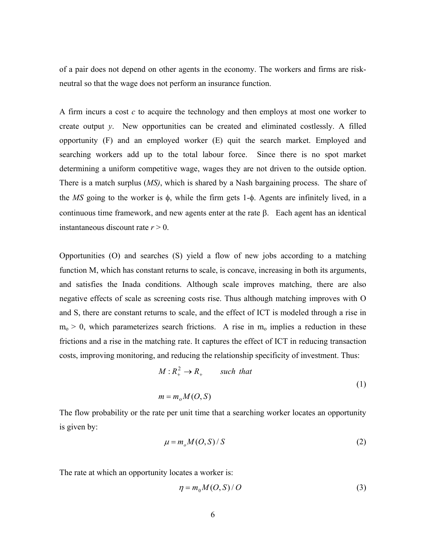of a pair does not depend on other agents in the economy. The workers and firms are riskneutral so that the wage does not perform an insurance function.

A firm incurs a cost *c* to acquire the technology and then employs at most one worker to create output *y*. New opportunities can be created and eliminated costlessly. A filled opportunity (F) and an employed worker (E) quit the search market. Employed and searching workers add up to the total labour force. Since there is no spot market determining a uniform competitive wage, wages they are not driven to the outside option. There is a match surplus (*MS)*, which is shared by a Nash bargaining process. The share of the *MS* going to the worker is φ, while the firm gets 1-φ. Agents are infinitely lived, in a continuous time framework, and new agents enter at the rate β. Each agent has an identical instantaneous discount rate  $r > 0$ .

Opportunities (O) and searches (S) yield a flow of new jobs according to a matching function M, which has constant returns to scale, is concave, increasing in both its arguments, and satisfies the Inada conditions. Although scale improves matching, there are also negative effects of scale as screening costs rise. Thus although matching improves with O and S, there are constant returns to scale, and the effect of ICT is modeled through a rise in  $m_0 > 0$ , which parameterizes search frictions. A rise in  $m_0$  implies a reduction in these frictions and a rise in the matching rate. It captures the effect of ICT in reducing transaction costs, improving monitoring, and reducing the relationship specificity of investment. Thus:

$$
M: R_+^2 \to R_+ \qquad \text{such that}
$$
  

$$
m = m_o M(O, S)
$$
 (1)

The flow probability or the rate per unit time that a searching worker locates an opportunity is given by:

$$
\mu = m_o M(O, S) / S \tag{2}
$$

The rate at which an opportunity locates a worker is:

$$
\eta = m_0 M(O, S) / O \tag{3}
$$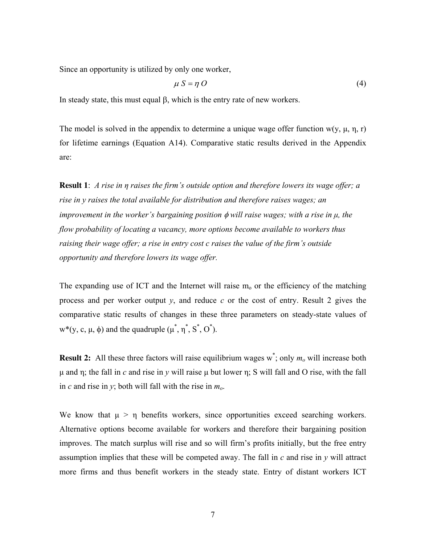Since an opportunity is utilized by only one worker,

$$
\mu S = \eta O \tag{4}
$$

In steady state, this must equal β, which is the entry rate of new workers.

The model is solved in the appendix to determine a unique wage offer function w(y,  $\mu$ , n, r) for lifetime earnings (Equation A14). Comparative static results derived in the Appendix are:

**Result 1**: *A rise in η raises the firm's outside option and therefore lowers its wage offer; a rise in y raises the total available for distribution and therefore raises wages; an improvement in the worker's bargaining position* φ *will raise wages; with a rise in μ, the flow probability of locating a vacancy, more options become available to workers thus raising their wage offer; a rise in entry cost c raises the value of the firm's outside opportunity and therefore lowers its wage offer.* 

The expanding use of ICT and the Internet will raise  $m_0$  or the efficiency of the matching process and per worker output *y*, and reduce *c* or the cost of entry. Result 2 gives the comparative static results of changes in these three parameters on steady-state values of w<sup>\*</sup>(y, c,  $\mu$ ,  $\phi$ ) and the quadruple ( $\mu^*$ ,  $\eta^*$ ,  $S^*$ ,  $O^*$ ).

**Result 2:** All these three factors will raise equilibrium wages w<sup>\*</sup>; only  $m<sub>o</sub>$  will increase both μ and η; the fall in *c* and rise in *y* will raise μ but lower η; S will fall and O rise, with the fall in *c* and rise in *y*; both will fall with the rise in *mo*.

We know that  $\mu > \eta$  benefits workers, since opportunities exceed searching workers. Alternative options become available for workers and therefore their bargaining position improves. The match surplus will rise and so will firm's profits initially, but the free entry assumption implies that these will be competed away. The fall in *c* and rise in *y* will attract more firms and thus benefit workers in the steady state. Entry of distant workers ICT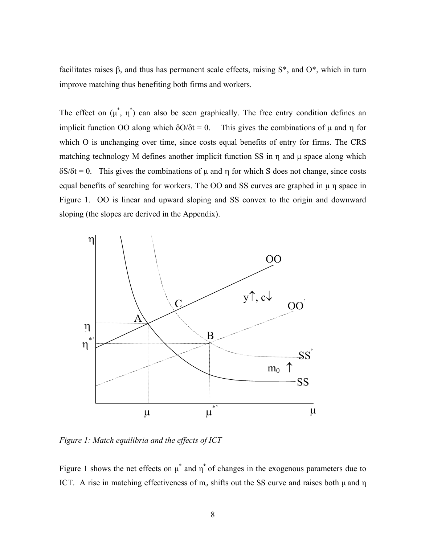facilitates raises β, and thus has permanent scale effects, raising S\*, and O\*, which in turn improve matching thus benefiting both firms and workers.

The effect on  $(\mu^*, \eta^*)$  can also be seen graphically. The free entry condition defines an implicit function OO along which  $\delta O/\delta t = 0$ . This gives the combinations of  $\mu$  and  $\eta$  for which O is unchanging over time, since costs equal benefits of entry for firms. The CRS matching technology M defines another implicit function SS in  $\eta$  and  $\mu$  space along which  $\delta S/\delta t = 0$ . This gives the combinations of  $\mu$  and  $\eta$  for which S does not change, since costs equal benefits of searching for workers. The OO and SS curves are graphed in μ η space in Figure 1. OO is linear and upward sloping and SS convex to the origin and downward sloping (the slopes are derived in the Appendix).



*Figure 1: Match equilibria and the effects of ICT*

Figure 1 shows the net effects on  $\mu^*$  and  $\eta^*$  of changes in the exogenous parameters due to ICT. A rise in matching effectiveness of  $m_0$  shifts out the SS curve and raises both  $\mu$  and  $\eta$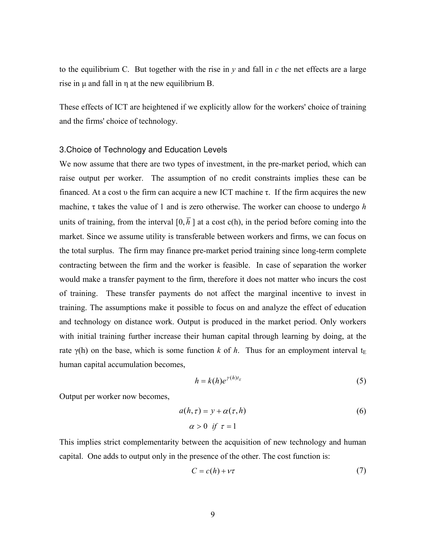to the equilibrium C. But together with the rise in  $y$  and fall in  $c$  the net effects are a large rise in  $\mu$  and fall in  $\eta$  at the new equilibrium B.

These effects of ICT are heightened if we explicitly allow for the workers' choice of training and the firms' choice of technology.

#### 3.Choice of Technology and Education Levels

We now assume that there are two types of investment, in the pre-market period, which can raise output per worker. The assumption of no credit constraints implies these can be financed. At a cost v the firm can acquire a new ICT machine  $\tau$ . If the firm acquires the new machine, τ takes the value of 1 and is zero otherwise. The worker can choose to undergo *h* units of training, from the interval  $[0, \overline{h}]$  at a cost c(h), in the period before coming into the market. Since we assume utility is transferable between workers and firms, we can focus on the total surplus. The firm may finance pre-market period training since long-term complete contracting between the firm and the worker is feasible. In case of separation the worker would make a transfer payment to the firm, therefore it does not matter who incurs the cost of training. These transfer payments do not affect the marginal incentive to invest in training. The assumptions make it possible to focus on and analyze the effect of education and technology on distance work. Output is produced in the market period. Only workers with initial training further increase their human capital through learning by doing, at the rate  $\gamma$ (h) on the base, which is some function *k* of *h*. Thus for an employment interval t<sub>E</sub> human capital accumulation becomes,

$$
h = k(h)e^{\gamma(h)t_E} \tag{5}
$$

Output per worker now becomes,

$$
a(h,\tau) = y + \alpha(\tau, h)
$$
  
\n
$$
\alpha > 0 \quad \text{if} \quad \tau = 1
$$
\n(6)

This implies strict complementarity between the acquisition of new technology and human capital. One adds to output only in the presence of the other. The cost function is:

$$
C = c(h) + \nu \tau \tag{7}
$$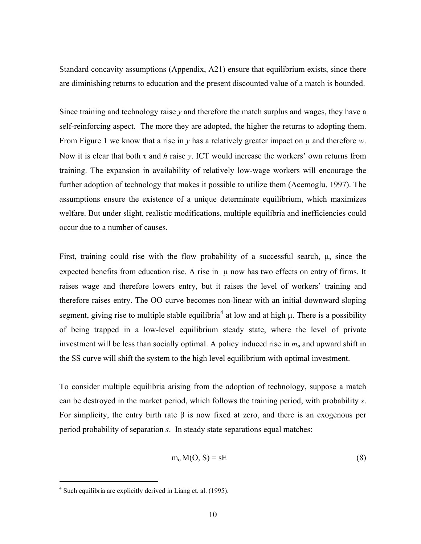Standard concavity assumptions (Appendix, A21) ensure that equilibrium exists, since there are diminishing returns to education and the present discounted value of a match is bounded.

Since training and technology raise *y* and therefore the match surplus and wages, they have a self-reinforcing aspect. The more they are adopted, the higher the returns to adopting them. From Figure 1 we know that a rise in *y* has a relatively greater impact on μ and therefore *w*. Now it is clear that both τ and *h* raise *y*. ICT would increase the workers' own returns from training. The expansion in availability of relatively low-wage workers will encourage the further adoption of technology that makes it possible to utilize them (Acemoglu, 1997). The assumptions ensure the existence of a unique determinate equilibrium, which maximizes welfare. But under slight, realistic modifications, multiple equilibria and inefficiencies could occur due to a number of causes.

First, training could rise with the flow probability of a successful search, μ, since the expected benefits from education rise. A rise in μ now has two effects on entry of firms. It raises wage and therefore lowers entry, but it raises the level of workers' training and therefore raises entry. The OO curve becomes non-linear with an initial downward sloping segment, giving rise to multiple stable equilibria<sup>4</sup> at low and at high  $\mu$ . There is a possibility of being trapped in a low-level equilibrium steady state, where the level of private investment will be less than socially optimal. A policy induced rise in *mo* and upward shift in the SS curve will shift the system to the high level equilibrium with optimal investment.

To consider multiple equilibria arising from the adoption of technology, suppose a match can be destroyed in the market period, which follows the training period, with probability *s*. For simplicity, the entry birth rate  $\beta$  is now fixed at zero, and there is an exogenous per period probability of separation *s*. In steady state separations equal matches:

$$
m_o M(O, S) = sE
$$
 (8)

<sup>&</sup>lt;sup>4</sup> Such equilibria are explicitly derived in Liang et. al. (1995).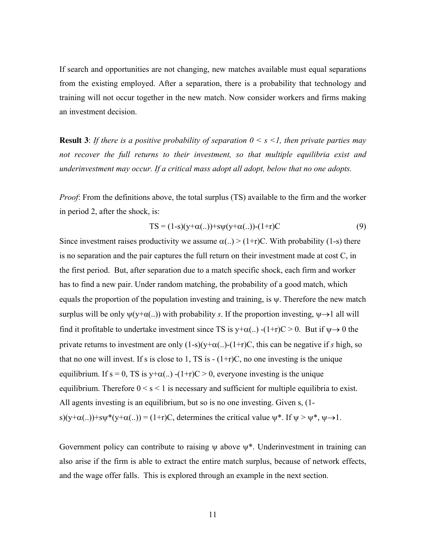If search and opportunities are not changing, new matches available must equal separations from the existing employed. After a separation, there is a probability that technology and training will not occur together in the new match. Now consider workers and firms making an investment decision.

**Result 3**: *If there is a positive probability of separation*  $0 \leq s \leq l$ *, then private parties may not recover the full returns to their investment, so that multiple equilibria exist and underinvestment may occur. If a critical mass adopt all adopt, below that no one adopts.* 

*Proof*: From the definitions above, the total surplus (TS) available to the firm and the worker in period 2, after the shock, is:

$$
TS = (1-s)(y+\alpha(...)) + s\psi(y+\alpha(...)) - (1+r)C
$$
\n(9)

Since investment raises productivity we assume  $\alpha(.) > (1+r)C$ . With probability (1-s) there is no separation and the pair captures the full return on their investment made at cost C, in the first period. But, after separation due to a match specific shock, each firm and worker has to find a new pair. Under random matching, the probability of a good match, which equals the proportion of the population investing and training, is  $\psi$ . Therefore the new match surplus will be only  $\psi(y+\alpha(.))$  with probability *s*. If the proportion investing,  $\psi \rightarrow 1$  all will find it profitable to undertake investment since TS is  $y+\alpha$ (...) -(1+r)C > 0. But if  $\psi \rightarrow 0$  the private returns to investment are only  $(1-s)(y+\alpha)$ .  $(1+r)C$ , this can be negative if *s* high, so that no one will invest. If s is close to 1, TS is  $-(1+r)C$ , no one investing is the unique equilibrium. If s = 0, TS is y+ $\alpha$ (..) -(1+r)C > 0, everyone investing is the unique equilibrium. Therefore  $0 \le s \le 1$  is necessary and sufficient for multiple equilibria to exist. All agents investing is an equilibrium, but so is no one investing. Given s, (1 s)(y+ $\alpha$ (..))+s $\psi^*(y+\alpha)$ (...)) = (1+r)C, determines the critical value  $\psi^*$ . If  $\psi > \psi^*$ ,  $\psi \rightarrow 1$ .

Government policy can contribute to raising  $\psi$  above  $\psi^*$ . Underinvestment in training can also arise if the firm is able to extract the entire match surplus, because of network effects, and the wage offer falls. This is explored through an example in the next section.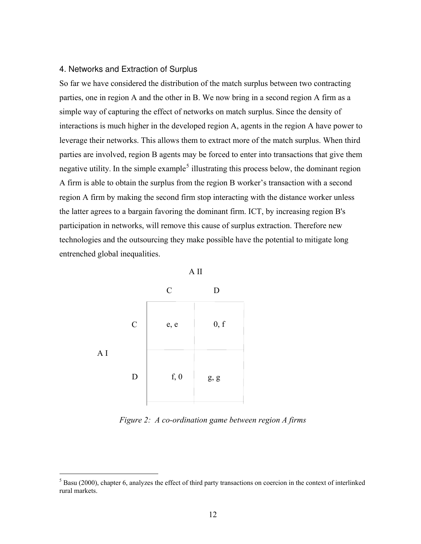## 4. Networks and Extraction of Surplus

So far we have considered the distribution of the match surplus between two contracting parties, one in region A and the other in B. We now bring in a second region A firm as a simple way of capturing the effect of networks on match surplus. Since the density of interactions is much higher in the developed region A, agents in the region A have power to leverage their networks. This allows them to extract more of the match surplus. When third parties are involved, region B agents may be forced to enter into transactions that give them negative utility. In the simple example<sup>5</sup> illustrating this process below, the dominant region A firm is able to obtain the surplus from the region B worker's transaction with a second region A firm by making the second firm stop interacting with the distance worker unless the latter agrees to a bargain favoring the dominant firm. ICT, by increasing region B's participation in networks, will remove this cause of surplus extraction. Therefore new technologies and the outsourcing they make possible have the potential to mitigate long entrenched global inequalities.



*Figure 2: A co-ordination game between region A firms* 

 $<sup>5</sup>$  Basu (2000), chapter 6, analyzes the effect of third party transactions on coercion in the context of interlinked</sup> rural markets.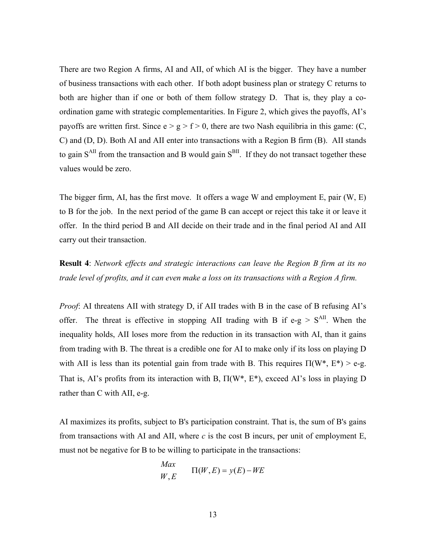There are two Region A firms, AI and AII, of which AI is the bigger. They have a number of business transactions with each other. If both adopt business plan or strategy C returns to both are higher than if one or both of them follow strategy D. That is, they play a coordination game with strategic complementarities. In Figure 2, which gives the payoffs, AI's payoffs are written first. Since  $e > g > f > 0$ , there are two Nash equilibria in this game: (C, C) and (D, D). Both AI and AII enter into transactions with a Region B firm (B). AII stands to gain  $S<sup>AII</sup>$  from the transaction and B would gain  $S<sup>BII</sup>$ . If they do not transact together these values would be zero.

The bigger firm, AI, has the first move. It offers a wage W and employment E, pair (W, E) to B for the job. In the next period of the game B can accept or reject this take it or leave it offer. In the third period B and AII decide on their trade and in the final period AI and AII carry out their transaction.

**Result 4**: *Network effects and strategic interactions can leave the Region B firm at its no trade level of profits, and it can even make a loss on its transactions with a Region A firm.* 

*Proof*: AI threatens AII with strategy D, if AII trades with B in the case of B refusing AI's offer. The threat is effective in stopping AII trading with B if  $e-g > S<sup>AII</sup>$ . When the inequality holds, AII loses more from the reduction in its transaction with AI, than it gains from trading with B. The threat is a credible one for AI to make only if its loss on playing D with AII is less than its potential gain from trade with B. This requires  $\Pi(W^*, E^*)$  > e-g. That is, AI's profits from its interaction with B, Π(W\*, E\*), exceed AI's loss in playing D rather than C with AII, e-g.

AI maximizes its profits, subject to B's participation constraint. That is, the sum of B's gains from transactions with AI and AII, where  $c$  is the cost B incurs, per unit of employment E, must not be negative for B to be willing to participate in the transactions:

$$
Max\nW, E \qquad \Pi(W, E) = y(E) - WE
$$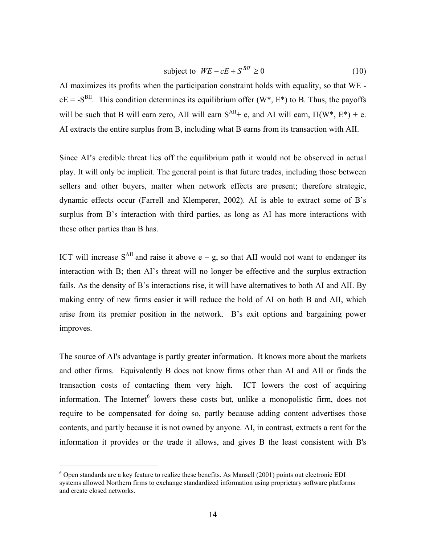$$
subject to \tW E - cE + S^{BII} \ge 0 \t\t(10)
$$

AI maximizes its profits when the participation constraint holds with equality, so that WE  $cE = -S<sup>BII</sup>$ . This condition determines its equilibrium offer (W<sup>\*</sup>, E<sup>\*</sup>) to B. Thus, the payoffs will be such that B will earn zero, AII will earn  $S^{AH}+e$ , and AI will earn,  $\Pi(W^*, E^*)+e$ . AI extracts the entire surplus from B, including what B earns from its transaction with AII.

Since AI's credible threat lies off the equilibrium path it would not be observed in actual play. It will only be implicit. The general point is that future trades, including those between sellers and other buyers, matter when network effects are present; therefore strategic, dynamic effects occur (Farrell and Klemperer, 2002). AI is able to extract some of B's surplus from B's interaction with third parties, as long as AI has more interactions with these other parties than B has.

ICT will increase  $S<sup>AII</sup>$  and raise it above e – g, so that AII would not want to endanger its interaction with B; then AI's threat will no longer be effective and the surplus extraction fails. As the density of B's interactions rise, it will have alternatives to both AI and AII. By making entry of new firms easier it will reduce the hold of AI on both B and AII, which arise from its premier position in the network. B's exit options and bargaining power improves.

The source of AI's advantage is partly greater information. It knows more about the markets and other firms. Equivalently B does not know firms other than AI and AII or finds the transaction costs of contacting them very high. ICT lowers the cost of acquiring information. The Internet<sup>6</sup> lowers these costs but, unlike a monopolistic firm, does not require to be compensated for doing so, partly because adding content advertises those contents, and partly because it is not owned by anyone. AI, in contrast, extracts a rent for the information it provides or the trade it allows, and gives B the least consistent with B's

 $6$  Open standards are a key feature to realize these benefits. As Mansell (2001) points out electronic EDI systems allowed Northern firms to exchange standardized information using proprietary software platforms and create closed networks.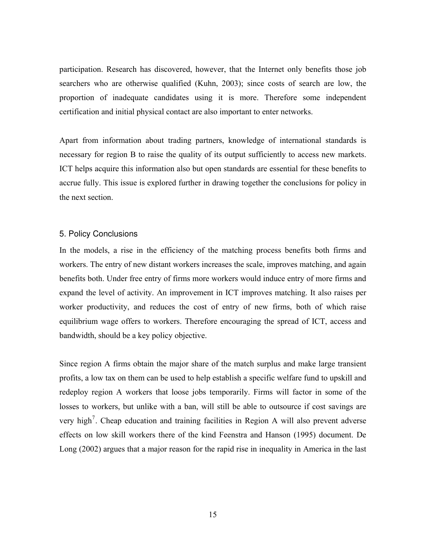participation. Research has discovered, however, that the Internet only benefits those job searchers who are otherwise qualified (Kuhn, 2003); since costs of search are low, the proportion of inadequate candidates using it is more. Therefore some independent certification and initial physical contact are also important to enter networks.

Apart from information about trading partners, knowledge of international standards is necessary for region B to raise the quality of its output sufficiently to access new markets. ICT helps acquire this information also but open standards are essential for these benefits to accrue fully. This issue is explored further in drawing together the conclusions for policy in the next section.

#### 5. Policy Conclusions

In the models, a rise in the efficiency of the matching process benefits both firms and workers. The entry of new distant workers increases the scale, improves matching, and again benefits both. Under free entry of firms more workers would induce entry of more firms and expand the level of activity. An improvement in ICT improves matching. It also raises per worker productivity, and reduces the cost of entry of new firms, both of which raise equilibrium wage offers to workers. Therefore encouraging the spread of ICT, access and bandwidth, should be a key policy objective.

Since region A firms obtain the major share of the match surplus and make large transient profits, a low tax on them can be used to help establish a specific welfare fund to upskill and redeploy region A workers that loose jobs temporarily. Firms will factor in some of the losses to workers, but unlike with a ban, will still be able to outsource if cost savings are very high<sup>7</sup>. Cheap education and training facilities in Region A will also prevent adverse effects on low skill workers there of the kind Feenstra and Hanson (1995) document. De Long (2002) argues that a major reason for the rapid rise in inequality in America in the last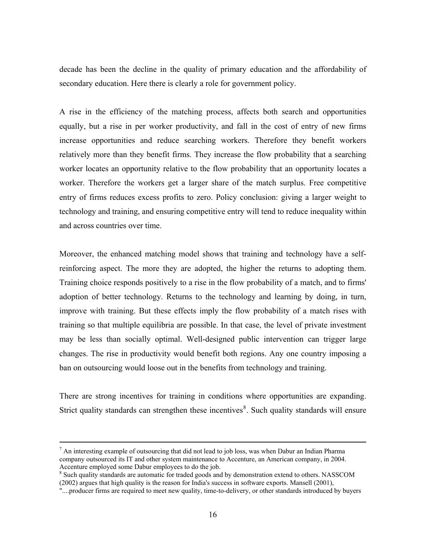decade has been the decline in the quality of primary education and the affordability of secondary education. Here there is clearly a role for government policy.

A rise in the efficiency of the matching process, affects both search and opportunities equally, but a rise in per worker productivity, and fall in the cost of entry of new firms increase opportunities and reduce searching workers. Therefore they benefit workers relatively more than they benefit firms. They increase the flow probability that a searching worker locates an opportunity relative to the flow probability that an opportunity locates a worker. Therefore the workers get a larger share of the match surplus. Free competitive entry of firms reduces excess profits to zero. Policy conclusion: giving a larger weight to technology and training, and ensuring competitive entry will tend to reduce inequality within and across countries over time.

Moreover, the enhanced matching model shows that training and technology have a selfreinforcing aspect. The more they are adopted, the higher the returns to adopting them. Training choice responds positively to a rise in the flow probability of a match, and to firms' adoption of better technology. Returns to the technology and learning by doing, in turn, improve with training. But these effects imply the flow probability of a match rises with training so that multiple equilibria are possible. In that case, the level of private investment may be less than socially optimal. Well-designed public intervention can trigger large changes. The rise in productivity would benefit both regions. Any one country imposing a ban on outsourcing would loose out in the benefits from technology and training.

There are strong incentives for training in conditions where opportunities are expanding. Strict quality standards can strengthen these incentives $\delta$ . Such quality standards will ensure

 $<sup>7</sup>$  An interesting example of outsourcing that did not lead to job loss, was when Dabur an Indian Pharma</sup> company outsourced its IT and other system maintenance to Accenture, an American company, in 2004. Accenture employed some Dabur employees to do the job.

<sup>&</sup>lt;sup>8</sup> Such quality standards are automatic for traded goods and by demonstration extend to others. NASSCOM (2002) argues that high quality is the reason for India's success in software exports. Mansell (2001),

<sup>&</sup>quot;....producer firms are required to meet new quality, time-to-delivery, or other standards introduced by buyers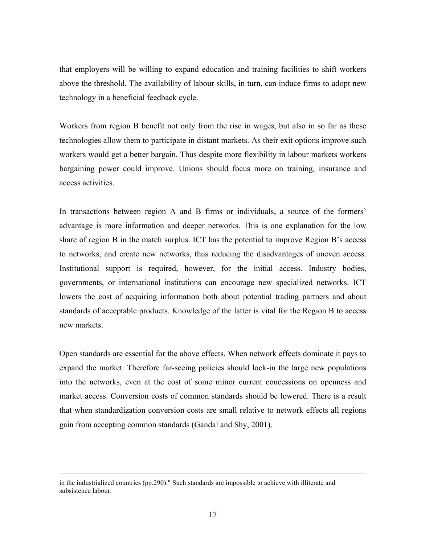that employers will be willing to expand education and training facilities to shift workers above the threshold. The availability of labour skills, in turn, can induce firms to adopt new technology in a beneficial feedback cycle.

Workers from region B benefit not only from the rise in wages, but also in so far as these technologies allow them to participate in distant markets. As their exit options improve such workers would get a better bargain. Thus despite more flexibility in labour markets workers bargaining power could improve. Unions should focus more on training, insurance and access activities.

In transactions between region A and B firms or individuals, a source of the formers' advantage is more information and deeper networks. This is one explanation for the low share of region B in the match surplus. ICT has the potential to improve Region B's access to networks, and create new networks, thus reducing the disadvantages of uneven access. Institutional support is required, however, for the initial access. Industry bodies, governments, or international institutions can encourage new specialized networks. ICT lowers the cost of acquiring information both about potential trading partners and about standards of acceptable products. Knowledge of the latter is vital for the Region B to access new markets.

Open standards are essential for the above effects. When network effects dominate it pays to expand the market. Therefore far-seeing policies should lock-in the large new populations into the networks, even at the cost of some minor current concessions on openness and market access. Conversion costs of common standards should be lowered. There is a result that when standardization conversion costs are small relative to network effects all regions gain from accepting common standards (Gandal and Shy, 2001).

in the industrialized countries (pp.290)." Such standards are impossible to achieve with illiterate and subsistence labour.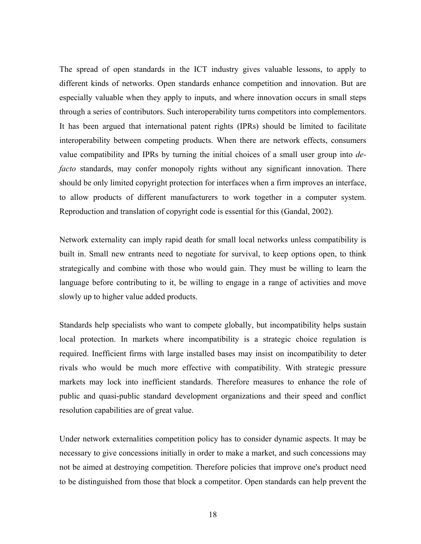The spread of open standards in the ICT industry gives valuable lessons, to apply to different kinds of networks. Open standards enhance competition and innovation. But are especially valuable when they apply to inputs, and where innovation occurs in small steps through a series of contributors. Such interoperability turns competitors into complementors. It has been argued that international patent rights (IPRs) should be limited to facilitate interoperability between competing products. When there are network effects, consumers value compatibility and IPRs by turning the initial choices of a small user group into *defacto* standards, may confer monopoly rights without any significant innovation. There should be only limited copyright protection for interfaces when a firm improves an interface, to allow products of different manufacturers to work together in a computer system. Reproduction and translation of copyright code is essential for this (Gandal, 2002).

Network externality can imply rapid death for small local networks unless compatibility is built in. Small new entrants need to negotiate for survival, to keep options open, to think strategically and combine with those who would gain. They must be willing to learn the language before contributing to it, be willing to engage in a range of activities and move slowly up to higher value added products.

Standards help specialists who want to compete globally, but incompatibility helps sustain local protection. In markets where incompatibility is a strategic choice regulation is required. Inefficient firms with large installed bases may insist on incompatibility to deter rivals who would be much more effective with compatibility. With strategic pressure markets may lock into inefficient standards. Therefore measures to enhance the role of public and quasi-public standard development organizations and their speed and conflict resolution capabilities are of great value.

Under network externalities competition policy has to consider dynamic aspects. It may be necessary to give concessions initially in order to make a market, and such concessions may not be aimed at destroying competition. Therefore policies that improve one's product need to be distinguished from those that block a competitor. Open standards can help prevent the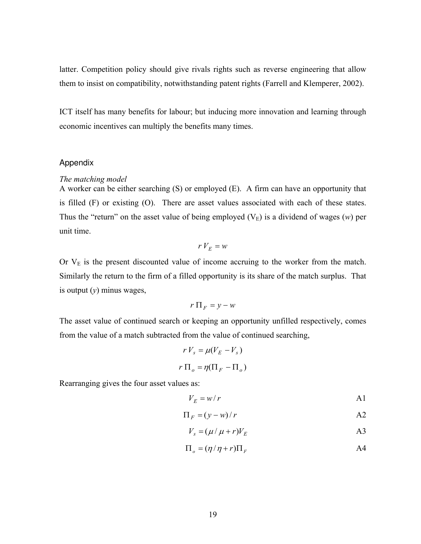latter. Competition policy should give rivals rights such as reverse engineering that allow them to insist on compatibility, notwithstanding patent rights (Farrell and Klemperer, 2002).

ICT itself has many benefits for labour; but inducing more innovation and learning through economic incentives can multiply the benefits many times.

## Appendix

#### *The matching model*

A worker can be either searching (S) or employed (E). A firm can have an opportunity that is filled (F) or existing (O). There are asset values associated with each of these states. Thus the "return" on the asset value of being employed  $(V_E)$  is a dividend of wages  $(w)$  per unit time.

$$
rV_E = w
$$

Or  $V_{E}$  is the present discounted value of income accruing to the worker from the match. Similarly the return to the firm of a filled opportunity is its share of the match surplus. That is output (*y*) minus wages,

$$
r \prod_F = y - w
$$

The asset value of continued search or keeping an opportunity unfilled respectively, comes from the value of a match subtracted from the value of continued searching,

$$
r V_s = \mu (V_E - V_s)
$$

$$
r \Pi_o = \eta (\Pi_F - \Pi_o)
$$

Rearranging gives the four asset values as:

$$
V_E = w/r
$$

$$
\Pi_F = (y - w)/r
$$

$$
V_s = (\mu / \mu + r) V_E
$$

$$
\Pi_o = (\eta / \eta + r) \Pi_F
$$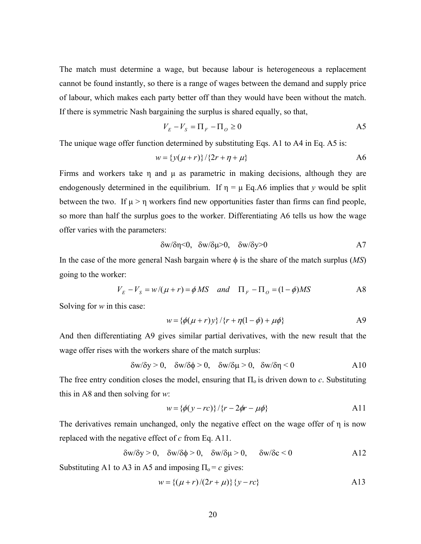The match must determine a wage, but because labour is heterogeneous a replacement cannot be found instantly, so there is a range of wages between the demand and supply price of labour, which makes each party better off than they would have been without the match. If there is symmetric Nash bargaining the surplus is shared equally, so that,

$$
V_E - V_S = \Pi_F - \Pi_O \ge 0
$$

The unique wage offer function determined by substituting Eqs. A1 to A4 in Eq. A5 is:

$$
w = \{y(\mu + r)\}/\{2r + \eta + \mu\}
$$

Firms and workers take η and μ as parametric in making decisions, although they are endogenously determined in the equilibrium. If  $\eta = \mu$  Eq.A6 implies that *y* would be split between the two. If  $\mu > \eta$  workers find new opportunities faster than firms can find people, so more than half the surplus goes to the worker. Differentiating A6 tells us how the wage offer varies with the parameters:

$$
\delta w/\delta \eta \le 0, \quad \delta w/\delta \mu \ge 0, \quad \delta w/\delta y \ge 0 \tag{A7}
$$

In the case of the more general Nash bargain where φ is the share of the match surplus (*MS*) going to the worker:

$$
V_E - V_S = w/(\mu + r) = \phi MS \quad and \quad \Pi_F - \Pi_O = (1 - \phi)MS \tag{A8}
$$

Solving for *w* in this case:

$$
w = \{\phi(\mu + r)y\}/\{r + \eta(1 - \phi) + \mu\phi\}
$$

And then differentiating A9 gives similar partial derivatives, with the new result that the wage offer rises with the workers share of the match surplus:

$$
\delta w/\delta y > 0, \quad \delta w/\delta \phi > 0, \quad \delta w/\delta \mu > 0, \quad \delta w/\delta \eta < 0 \tag{A10}
$$

The free entry condition closes the model, ensuring that  $\Pi_0$  is driven down to *c*. Substituting this in A8 and then solving for *w*:

$$
w = \{\phi(y - rc)\} / \{r - 2\phi r - \mu \phi\}
$$
 A11

The derivatives remain unchanged, only the negative effect on the wage offer of η is now replaced with the negative effect of *c* from Eq. A11.

$$
\delta w/\delta y > 0, \quad \delta w/\delta \phi > 0, \quad \delta w/\delta \mu > 0, \quad \delta w/\delta c < 0 \tag{A12}
$$

Substituting A1 to A3 in A5 and imposing  $\Pi_0 = c$  gives:

$$
w = \{ (\mu + r)/(2r + \mu) \} \{ y - rc \}
$$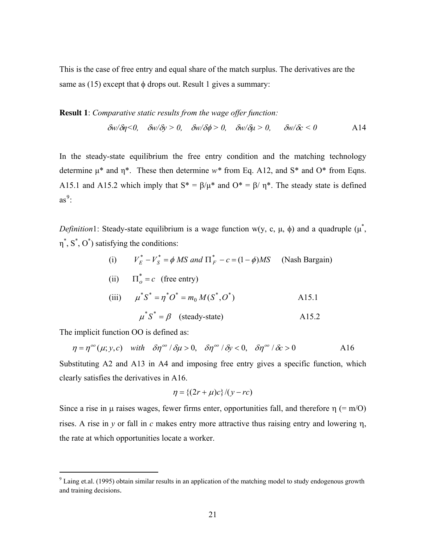This is the case of free entry and equal share of the match surplus. The derivatives are the same as  $(15)$  except that  $\phi$  drops out. Result 1 gives a summary:

**Result 1**: *Comparative static results from the wage offer function:* 

δ*w/*δ*η<0,* δ*w/*δ*y > 0,* δ*w/*δφ *> 0,* δ*w/*δ*μ > 0,* δ*w/*δ*c < 0* A14

In the steady-state equilibrium the free entry condition and the matching technology determine μ\* and η\*. These then determine *w\** from Eq. A12, and S\* and O\* from Eqns. A15.1 and A15.2 which imply that  $S^* = \beta/\mu^*$  and  $O^* = \beta/\eta^*$ . The steady state is defined  $as^9$ :

*Definition*1: Steady-state equilibrium is a wage function w(y, c,  $\mu$ ,  $\phi$ ) and a quadruple ( $\mu^*$ ,  $\eta^*, S^*, O^*$ ) satisfying the conditions:

(i) 
$$
V_E^* - V_S^* = \phi MS
$$
 and  $\Pi_F^* - c = (1 - \phi)MS$  (Nash Bargain)

(ii) 
$$
\Pi_o^* = c
$$
 (free entry)

(iii) 
$$
\mu^* S^* = \eta^* O^* = m_0 M(S^*, O^*)
$$
 A15.1

$$
\mu^* S^* = \beta \quad \text{(steady-state)} \tag{A15.2}
$$

The implicit function OO is defined as:

$$
\eta = \eta^{\circ\circ}(\mu; y, c) \quad \text{with} \quad \delta\eta^{\circ\circ}/\delta\mu > 0, \quad \delta\eta^{\circ\circ}/\delta y < 0, \quad \delta\eta^{\circ\circ}/\delta c > 0 \tag{A16}
$$

Substituting A2 and A13 in A4 and imposing free entry gives a specific function, which clearly satisfies the derivatives in A16.

$$
\eta = \left\{ (2r + \mu)c \right\} / (y - rc)
$$

Since a rise in  $\mu$  raises wages, fewer firms enter, opportunities fall, and therefore  $\eta$  (= m/O) rises. A rise in *y* or fall in *c* makes entry more attractive thus raising entry and lowering η, the rate at which opportunities locate a worker.

<sup>&</sup>lt;sup>9</sup> Laing et.al. (1995) obtain similar results in an application of the matching model to study endogenous growth and training decisions.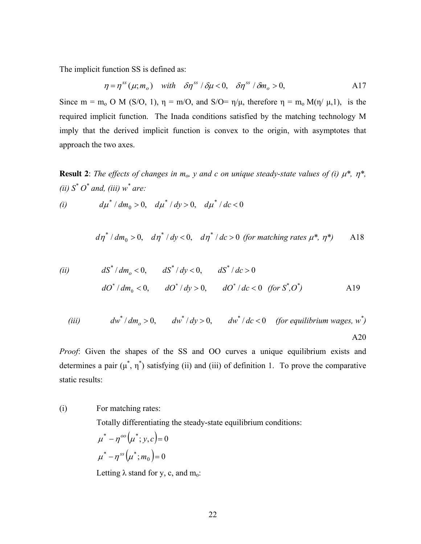The implicit function SS is defined as:

$$
\eta = \eta^{ss}(\mu; m_o) \quad \text{with} \quad \delta \eta^{ss} / \delta \mu < 0, \quad \delta \eta^{ss} / \delta m_o > 0,
$$
\n
$$
\tag{A17}
$$

Since  $m = m_0 O M (S/O, 1)$ ,  $\eta = m/O$ , and  $S/O = \eta/\mu$ , therefore  $\eta = m_0 M(\eta/\mu, 1)$ , is the required implicit function. The Inada conditions satisfied by the matching technology M imply that the derived implicit function is convex to the origin, with asymptotes that approach the two axes.

**Result 2**: *The effects of changes in m<sub>o</sub>, y and c on unique steady-state values of (i)*  $\mu^*$ ,  $\eta^*$ , *(ii)*  $S^*$   $O^*$  *and, (iii)*  $w^*$  *are:* 

(i) 
$$
d\mu^* / dm_0 > 0
$$
,  $d\mu^* / dy > 0$ ,  $d\mu^* / dc < 0$ 

$$
d\eta^* / dm_0 > 0, \quad d\eta^* / dy < 0, \quad d\eta^* / dc > 0 \text{ (for matching rates } \mu^*, \eta^*)
$$

(ii) 
$$
dS^* / dm_0 < 0
$$
,  $dS^* / dy < 0$ ,  $dS^* / dc > 0$   
\n $dO^* / dm_0 < 0$ ,  $dO^* / dy > 0$ ,  $dO^* / dc < 0$  (for  $S^* , O^*$ )

(iii) 
$$
dw^*/dm_o > 0
$$
,  $dw^*/dy > 0$ ,  $dw^*/dc < 0$  (for equilibrium wages,  $w^*$ )  
A20

*Proof*: Given the shapes of the SS and OO curves a unique equilibrium exists and determines a pair  $(\mu^*, \eta^*)$  satisfying (ii) and (iii) of definition 1. To prove the comparative static results:

## (i) For matching rates:

Totally differentiating the steady-state equilibrium conditions:

$$
\mu^* - \eta^{oo}(\mu^*; y, c) = 0
$$

$$
\mu^* - \eta^{ss}(\mu^*; m_0) = 0
$$

Letting  $\lambda$  stand for y, c, and m<sub>o</sub>: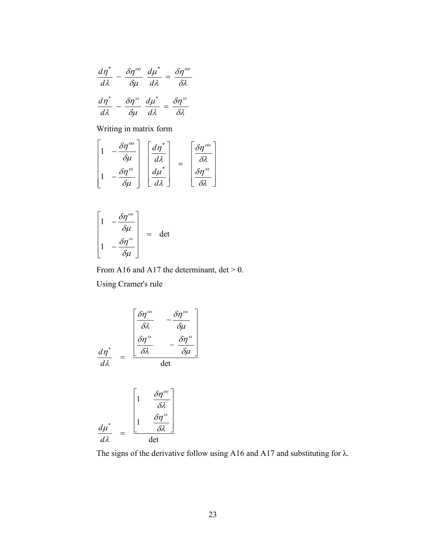$$
\frac{d\eta^*}{d\lambda} - \frac{\delta\eta^{oo}}{\delta\mu} \frac{d\mu^*}{d\lambda} = \frac{\delta\eta^{oo}}{\delta\lambda}
$$

$$
\frac{d\eta^*}{d\lambda} - \frac{\delta\eta^{ss}}{\delta\mu} \frac{d\mu^*}{d\lambda} = \frac{\delta\eta^{ss}}{\delta\lambda}
$$

Writing in matrix form

$$
\begin{bmatrix} 1 & -\frac{\delta \eta^{oo}}{\delta \mu} \\ 1 & -\frac{\delta \eta^{ss}}{\delta \mu} \end{bmatrix} \begin{bmatrix} \frac{d\eta^*}{d\lambda} \\ \frac{d\mu^*}{d\lambda} \end{bmatrix} = \begin{bmatrix} \frac{\delta \eta^{oo}}{\delta \lambda} \\ \frac{\delta \eta^{ss}}{\delta \lambda} \end{bmatrix}
$$

$$
\begin{bmatrix} 1 & -\frac{\delta \eta^{\circ \circ}}{\delta \mu} \\ 1 & -\frac{\delta \eta^{\circ s}}{\delta \mu} \end{bmatrix} = \det
$$

From A16 and A17 the determinant,  $det > 0$ . Using Cramer's rule

$$
\frac{d\eta^*}{d\lambda} = \frac{\begin{bmatrix} \frac{\delta\eta^{oo}}{\delta\lambda} & -\frac{\delta\eta^{oo}}{\delta\mu} \\ \frac{\delta\eta^{ss}}{\delta\lambda} & -\frac{\delta\eta^{ss}}{\delta\mu} \end{bmatrix}}{\det}
$$

$$
\frac{d\mu^*}{d\lambda} = \frac{\begin{bmatrix} 1 & \frac{\delta \eta^{oo}}{\delta \lambda} \\ 1 & \frac{\delta \eta^{ss}}{\delta \lambda} \end{bmatrix}}{\det}
$$

The signs of the derivative follow using A16 and A17 and substituting for  $\lambda$ .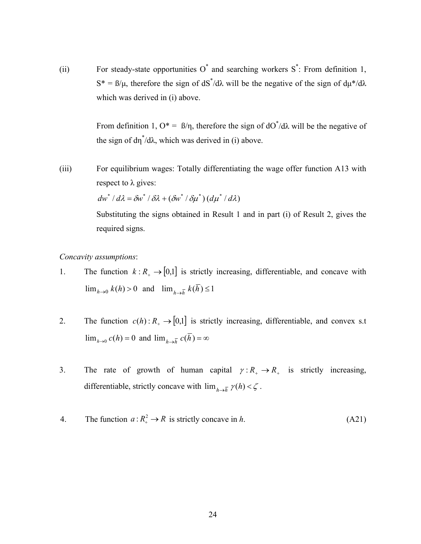(ii) For steady-state opportunities  $O^*$  and searching workers  $S^*$ : From definition 1,  $S^* = \frac{\beta}{\mu}$ , therefore the sign of  $\frac{dS^*}{d\lambda}$  will be the negative of the sign of  $\frac{d\mu^*}{d\lambda}$ which was derived in (i) above.

> From definition 1,  $O^* = \frac{B}{\eta}$ , therefore the sign of  $\frac{dO^*}{d\lambda}$  will be the negative of the sign of  $d\eta^* / d\lambda$ , which was derived in (i) above.

(iii) For equilibrium wages: Totally differentiating the wage offer function A13 with respect to  $\lambda$  gives:

$$
dw^* / d\lambda = \delta w^* / \delta \lambda + (\delta w^* / \delta \mu^*) (d\mu^* / d\lambda)
$$

Substituting the signs obtained in Result 1 and in part (i) of Result 2, gives the required signs.

*Concavity assumptions*:

- 1. The function  $k: R_+ \to [0,1]$  is strictly increasing, differentiable, and concave with  $\lim_{h \to 0} k(h) > 0$  and  $\lim_{h \to \overline{h}} k(h) \le 1$
- 2. The function  $c(h): R_+ \to [0,1]$  is strictly increasing, differentiable, and convex s.t  $\lim_{h\to 0} c(h) = 0$  and  $\lim_{h\to \overline{h}} c(h) = \infty$
- 3. The rate of growth of human capital  $\gamma: R_+ \to R_+$  is strictly increasing, differentiable, strictly concave with  $\lim_{h \to \overline{h}} \gamma(h) < \zeta$ .
- 4. The function  $a: R_+^2 \to R$  is strictly concave in *h*. (A21)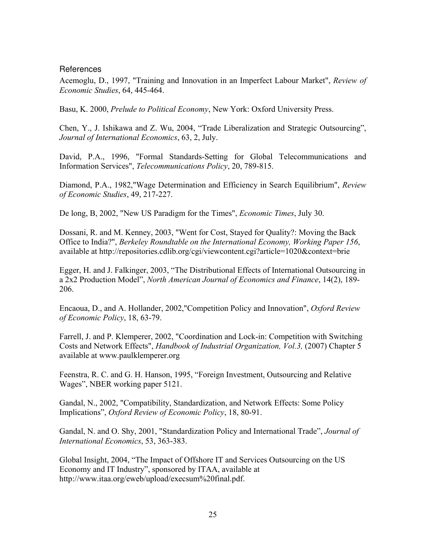## **References**

Acemoglu, D., 1997, "Training and Innovation in an Imperfect Labour Market", *Review of Economic Studies*, 64, 445-464.

Basu, K. 2000, *Prelude to Political Economy*, New York: Oxford University Press.

Chen, Y., J. Ishikawa and Z. Wu, 2004, "Trade Liberalization and Strategic Outsourcing", *Journal of International Economics*, 63, 2, July.

David, P.A., 1996, "Formal Standards-Setting for Global Telecommunications and Information Services", *Telecommunications Policy*, 20, 789-815.

Diamond, P.A., 1982,"Wage Determination and Efficiency in Search Equilibrium", *Review of Economic Studies*, 49, 217-227.

De long, B, 2002, "New US Paradigm for the Times", *Economic Times*, July 30.

Dossani, R. and M. Kenney, 2003, "Went for Cost, Stayed for Quality?: Moving the Back Office to India?", *Berkeley Roundtable on the International Economy, Working Paper 156*, available at http://repositories.cdlib.org/cgi/viewcontent.cgi?article=1020&context=brie

Egger, H. and J. Falkinger, 2003, "The Distributional Effects of International Outsourcing in a 2x2 Production Model", *North American Journal of Economics and Finance*, 14(2), 189- 206.

Encaoua, D., and A. Hollander, 2002,"Competition Policy and Innovation", *Oxford Review of Economic Policy*, 18, 63-79.

Farrell, J. and P. Klemperer, 2002, "Coordination and Lock-in: Competition with Switching Costs and Network Effects", *Handbook of Industrial Organization, Vol.3,* (2007) Chapter 5 available at www.paulklemperer.org

Feenstra, R. C. and G. H. Hanson, 1995, "Foreign Investment, Outsourcing and Relative Wages", NBER working paper 5121.

Gandal, N., 2002, "Compatibility, Standardization, and Network Effects: Some Policy Implications", *Oxford Review of Economic Policy*, 18, 80-91.

Gandal, N. and O. Shy, 2001, "Standardization Policy and International Trade", *Journal of International Economics*, 53, 363-383.

Global Insight, 2004, "The Impact of Offshore IT and Services Outsourcing on the US Economy and IT Industry", sponsored by ITAA, available at http://www.itaa.org/eweb/upload/execsum%20final.pdf.